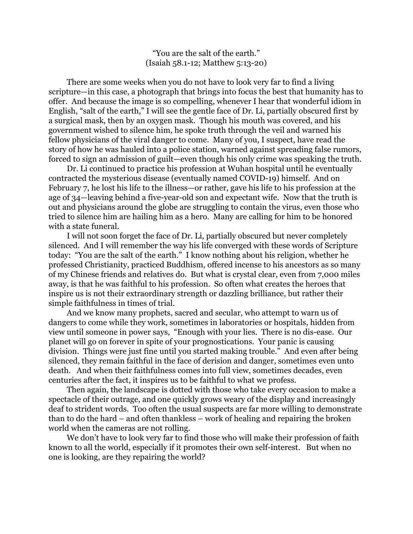"You are the salt of the earth." (Isaiah 58.1-12; Matthew 5:13-20)

There are some weeks when you do not have to look very far to find a living scripture—in this case, a photograph that brings into focus the best that humanity has to offer. And because the image is so compelling, whenever I hear that wonderful idiom in English, "salt of the earth," I will see the gentle face of Dr. Li, partially obscured first by a surgical mask, then by an oxygen mask. Though his mouth was covered, and his government wished to silence him, he spoke truth through the veil and warned his fellow physicians of the viral danger to come. Many of you, I suspect, have read the story of how he was hauled into a police station, warned against spreading false rumors, forced to sign an admission of guilt—even though his only crime was speaking the truth.

Dr. Li continued to practice his profession at Wuhan hospital until he eventually contracted the mysterious disease (eventually named COVID-19) himself. And on February 7, he lost his life to the illness—or rather, gave his life to his profession at the age of 34—leaving behind a five-year-old son and expectant wife. Now that the truth is out and physicians around the globe are struggling to contain the virus, even those who tried to silence him are hailing him as a hero. Many are calling for him to be honored with a state funeral.

I will not soon forget the face of Dr. Li, partially obscured but never completely silenced. And I will remember the way his life converged with these words of Scripture today: "You are the salt of the earth." I know nothing about his religion, whether he professed Christianity, practiced Buddhism, offered incense to his ancestors as so many of my Chinese friends and relatives do. But what is crystal clear, even from 7,000 miles away, is that he was faithful to his profession. So often what creates the heroes that inspire us is not their extraordinary strength or dazzling brilliance, but rather their simple faithfulness in times of trial.

And we know many prophets, sacred and secular, who attempt to warn us of dangers to come while they work, sometimes in laboratories or hospitals, hidden from view until someone in power says, "Enough with your lies. There is no dis-ease. Our planet will go on forever in spite of your prognostications. Your panic is causing division. Things were just fine until you started making trouble." And even after being silenced, they remain faithful in the face of derision and danger, sometimes even unto death. And when their faithfulness comes into full view, sometimes decades, even centuries after the fact, it inspires us to be faithful to what we profess.

Then again, the landscape is dotted with those who take every occasion to make a spectacle of their outrage, and one quickly grows weary of the display and increasingly deaf to strident words. Too often the usual suspects are far more willing to demonstrate than to do the hard – and often thankless – work of healing and repairing the broken world when the cameras are not rolling.

We don't have to look very far to find those who will make their profession of faith known to all the world, especially if it promotes their own self-interest. But when no one is looking, are they repairing the world?